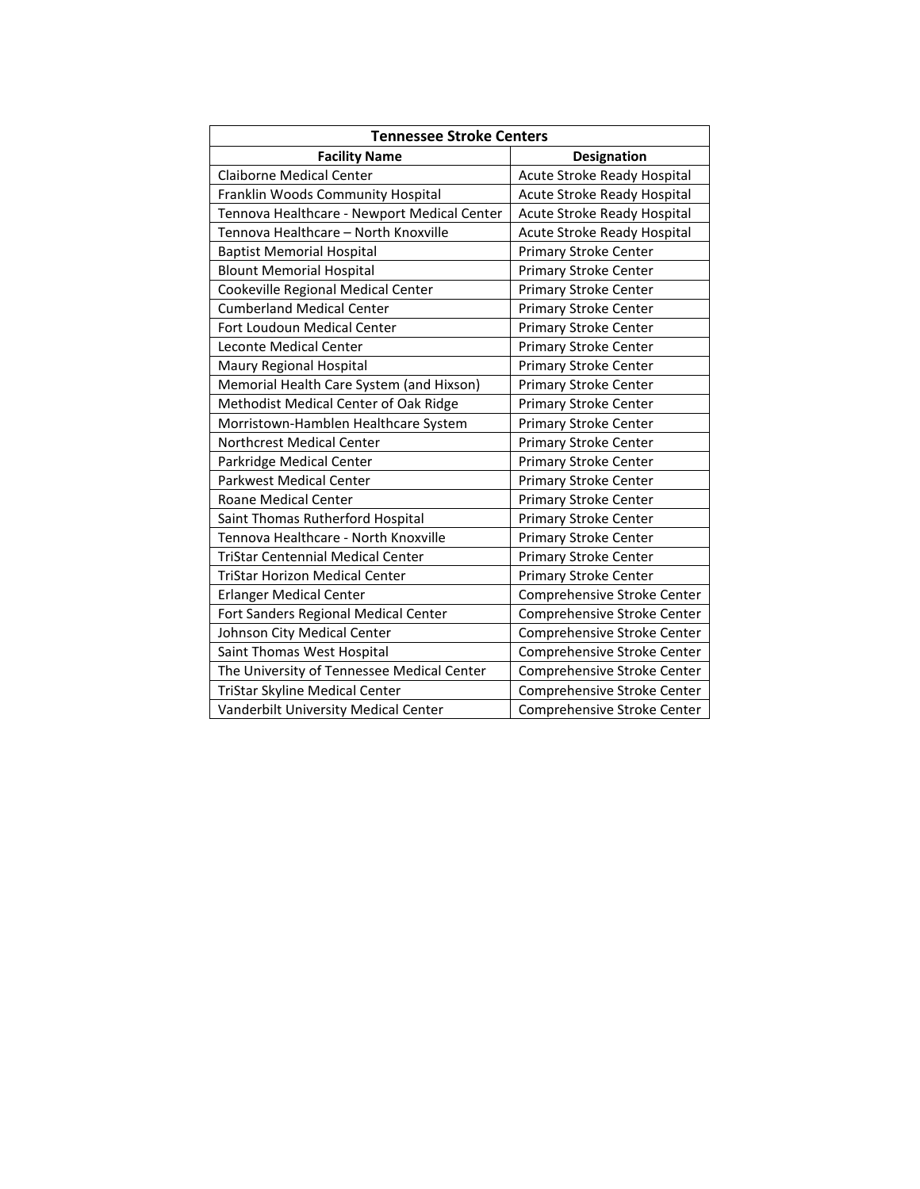| <b>Tennessee Stroke Centers</b>             |                              |
|---------------------------------------------|------------------------------|
| <b>Facility Name</b>                        | Designation                  |
| <b>Claiborne Medical Center</b>             | Acute Stroke Ready Hospital  |
| Franklin Woods Community Hospital           | Acute Stroke Ready Hospital  |
| Tennova Healthcare - Newport Medical Center | Acute Stroke Ready Hospital  |
| Tennova Healthcare - North Knoxville        | Acute Stroke Ready Hospital  |
| <b>Baptist Memorial Hospital</b>            | <b>Primary Stroke Center</b> |
| <b>Blount Memorial Hospital</b>             | <b>Primary Stroke Center</b> |
| Cookeville Regional Medical Center          | Primary Stroke Center        |
| <b>Cumberland Medical Center</b>            | <b>Primary Stroke Center</b> |
| Fort Loudoun Medical Center                 | <b>Primary Stroke Center</b> |
| <b>Leconte Medical Center</b>               | <b>Primary Stroke Center</b> |
| Maury Regional Hospital                     | <b>Primary Stroke Center</b> |
| Memorial Health Care System (and Hixson)    | <b>Primary Stroke Center</b> |
| Methodist Medical Center of Oak Ridge       | <b>Primary Stroke Center</b> |
| Morristown-Hamblen Healthcare System        | <b>Primary Stroke Center</b> |
| <b>Northcrest Medical Center</b>            | <b>Primary Stroke Center</b> |
| Parkridge Medical Center                    | <b>Primary Stroke Center</b> |
| <b>Parkwest Medical Center</b>              | Primary Stroke Center        |
| <b>Roane Medical Center</b>                 | <b>Primary Stroke Center</b> |
| Saint Thomas Rutherford Hospital            | <b>Primary Stroke Center</b> |
| Tennova Healthcare - North Knoxville        | <b>Primary Stroke Center</b> |
| <b>TriStar Centennial Medical Center</b>    | Primary Stroke Center        |
| <b>TriStar Horizon Medical Center</b>       | <b>Primary Stroke Center</b> |
| <b>Erlanger Medical Center</b>              | Comprehensive Stroke Center  |
| Fort Sanders Regional Medical Center        | Comprehensive Stroke Center  |
| Johnson City Medical Center                 | Comprehensive Stroke Center  |
| Saint Thomas West Hospital                  | Comprehensive Stroke Center  |
| The University of Tennessee Medical Center  | Comprehensive Stroke Center  |
| TriStar Skyline Medical Center              | Comprehensive Stroke Center  |
| Vanderbilt University Medical Center        | Comprehensive Stroke Center  |